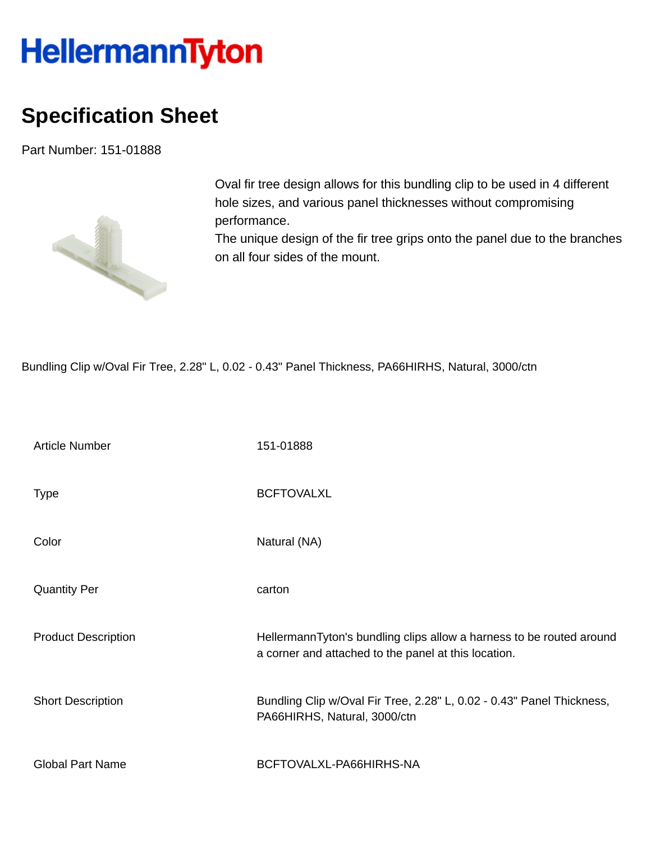## **HellermannTyton**

## **Specification Sheet**

Part Number: 151-01888



Oval fir tree design allows for this bundling clip to be used in 4 different hole sizes, and various panel thicknesses without compromising performance.

The unique design of the fir tree grips onto the panel due to the branches on all four sides of the mount.

Bundling Clip w/Oval Fir Tree, 2.28" L, 0.02 - 0.43" Panel Thickness, PA66HIRHS, Natural, 3000/ctn

| <b>Article Number</b>      | 151-01888                                                                                                                    |
|----------------------------|------------------------------------------------------------------------------------------------------------------------------|
| <b>Type</b>                | <b>BCFTOVALXL</b>                                                                                                            |
| Color                      | Natural (NA)                                                                                                                 |
| <b>Quantity Per</b>        | carton                                                                                                                       |
| <b>Product Description</b> | HellermannTyton's bundling clips allow a harness to be routed around<br>a corner and attached to the panel at this location. |
| <b>Short Description</b>   | Bundling Clip w/Oval Fir Tree, 2.28" L, 0.02 - 0.43" Panel Thickness,<br>PA66HIRHS, Natural, 3000/ctn                        |
| <b>Global Part Name</b>    | BCFTOVALXL-PA66HIRHS-NA                                                                                                      |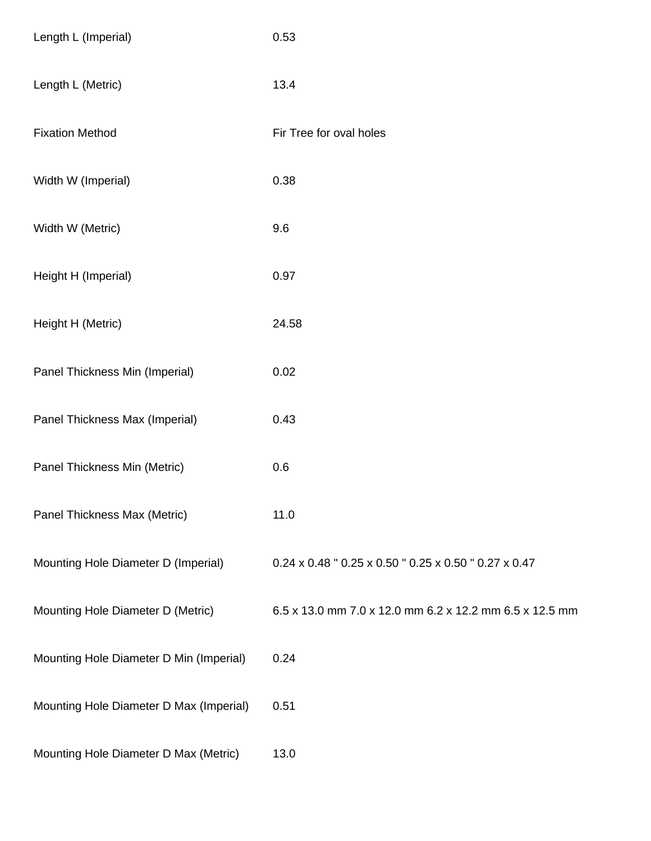| Length L (Imperial)                     | 0.53                                                    |
|-----------------------------------------|---------------------------------------------------------|
| Length L (Metric)                       | 13.4                                                    |
| <b>Fixation Method</b>                  | Fir Tree for oval holes                                 |
| Width W (Imperial)                      | 0.38                                                    |
| Width W (Metric)                        | 9.6                                                     |
| Height H (Imperial)                     | 0.97                                                    |
| Height H (Metric)                       | 24.58                                                   |
| Panel Thickness Min (Imperial)          | 0.02                                                    |
| Panel Thickness Max (Imperial)          | 0.43                                                    |
| Panel Thickness Min (Metric)            | 0.6                                                     |
| Panel Thickness Max (Metric)            | 11.0                                                    |
| Mounting Hole Diameter D (Imperial)     | 0.24 x 0.48 " 0.25 x 0.50 " 0.25 x 0.50 " 0.27 x 0.47   |
| Mounting Hole Diameter D (Metric)       | 6.5 x 13.0 mm 7.0 x 12.0 mm 6.2 x 12.2 mm 6.5 x 12.5 mm |
| Mounting Hole Diameter D Min (Imperial) | 0.24                                                    |
| Mounting Hole Diameter D Max (Imperial) | 0.51                                                    |
| Mounting Hole Diameter D Max (Metric)   | 13.0                                                    |